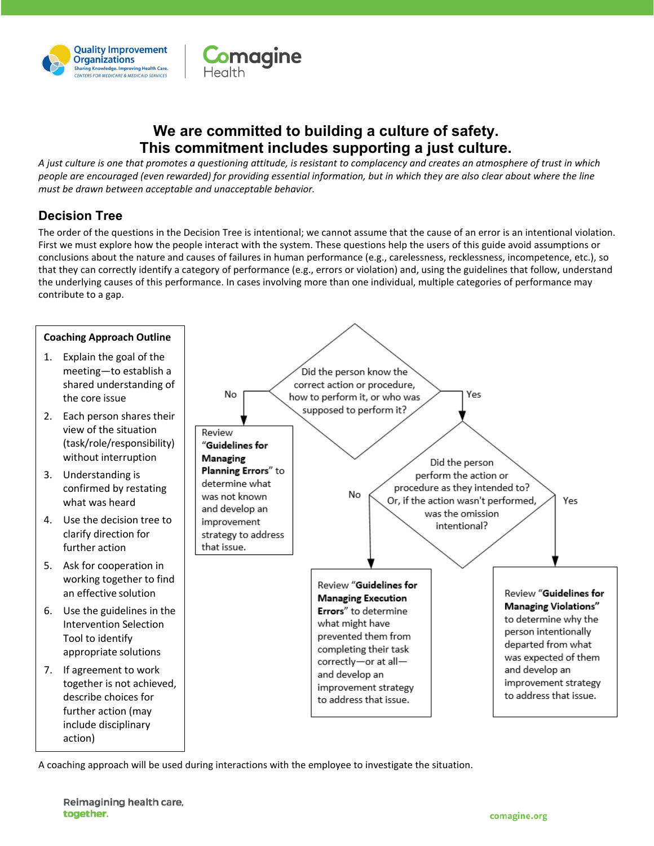

# **We are committed to building a culture of safety. This commitment includes supporting a just culture.**

**Comagine** 

*A just culture is one that promotes a questioning attitude, is resistant to complacency and creates an atmosphere of trust in which people are encouraged (even rewarded) for providing essential information, but in which they are also clear about where the line must be drawn between acceptable and unacceptable behavior.*

## **Decision Tree**

The order of the questions in the Decision Tree is intentional; we cannot assume that the cause of an error is an intentional violation. First we must explore how the people interact with the system. These questions help the users of this guide avoid assumptions or conclusions about the nature and causes of failures in human performance (e.g., carelessness, recklessness, incompetence, etc.), so that they can correctly identify a category of performance (e.g., errors or violation) and, using the guidelines that follow, understand the underlying causes of this performance. In cases involving more than one individual, multiple categories of performance may contribute to a gap.



A coaching approach will be used during interactions with the employee to investigate the situation.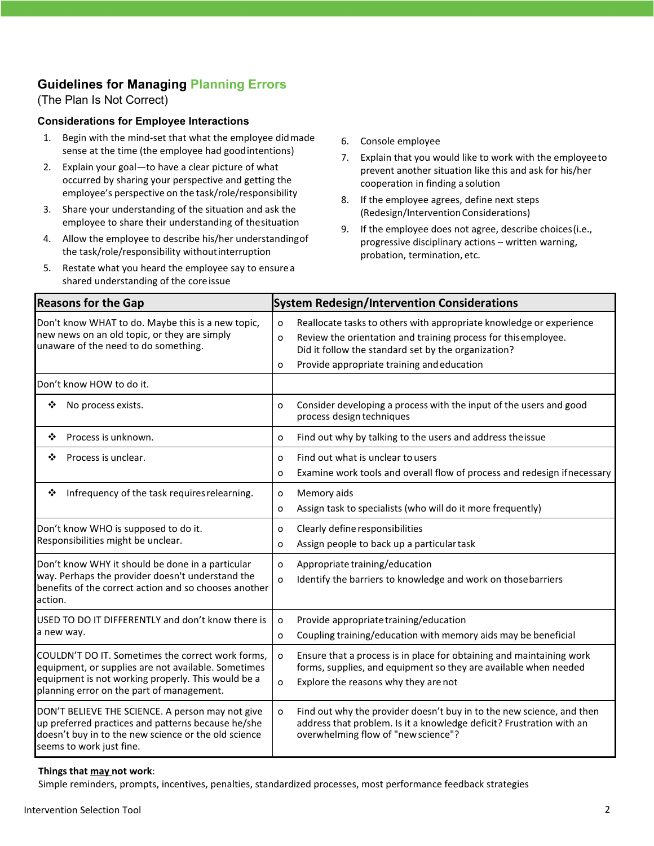## **Guidelines for Managing Planning Errors**

(The Plan Is Not Correct)

#### **Considerations for Employee Interactions**

- 1. Begin with the mind-set that what the employee didmade sense at the time (the employee had goodintentions)
- 2. Explain your goal—to have a clear picture of what occurred by sharing your perspective and getting the employee's perspective on the task/role/responsibility
- 3. Share your understanding of the situation and ask the employee to share their understanding of thesituation
- 4. Allow the employee to describe his/her understandingof the task/role/responsibility withoutinterruption
- 5. Restate what you heard the employee say to ensurea shared understanding of the coreissue
- 6. Console employee
- 7. Explain that you would like to work with the employeeto prevent another situation like this and ask for his/her cooperation in finding a solution
- 8. If the employee agrees, define next steps (Redesign/InterventionConsiderations)
- 9. If the employee does not agree, describe choices(i.e., progressive disciplinary actions – written warning, probation, termination, etc.

| <b>Reasons for the Gap</b>                                                                                                                                                                                  | <b>System Redesign/Intervention Considerations</b>                                                                                                                                                                                                       |
|-------------------------------------------------------------------------------------------------------------------------------------------------------------------------------------------------------------|----------------------------------------------------------------------------------------------------------------------------------------------------------------------------------------------------------------------------------------------------------|
| Don't know WHAT to do. Maybe this is a new topic,<br>new news on an old topic, or they are simply<br>unaware of the need to do something.                                                                   | Reallocate tasks to others with appropriate knowledge or experience<br>o<br>Review the orientation and training process for thisemployee.<br>o<br>Did it follow the standard set by the organization?<br>Provide appropriate training and education<br>o |
| Don't know HOW to do it.                                                                                                                                                                                    |                                                                                                                                                                                                                                                          |
| ❖<br>No process exists.                                                                                                                                                                                     | Consider developing a process with the input of the users and good<br>o<br>process design techniques                                                                                                                                                     |
| Process is unknown.<br>❖                                                                                                                                                                                    | Find out why by talking to the users and address the issue<br>o                                                                                                                                                                                          |
| Process is unclear.<br>❖                                                                                                                                                                                    | Find out what is unclear to users<br>o<br>Examine work tools and overall flow of process and redesign if necessary<br>o                                                                                                                                  |
| Infrequency of the task requires relearning.<br>❖                                                                                                                                                           | Memory aids<br>o<br>Assign task to specialists (who will do it more frequently)<br>o                                                                                                                                                                     |
| Don't know WHO is supposed to do it.<br>Responsibilities might be unclear.                                                                                                                                  | Clearly define responsibilities<br>o<br>Assign people to back up a particular task<br>o                                                                                                                                                                  |
| Don't know WHY it should be done in a particular<br>way. Perhaps the provider doesn't understand the<br>benefits of the correct action and so chooses another<br>action.                                    | Appropriate training/education<br>o<br>Identify the barriers to knowledge and work on those barriers<br>o                                                                                                                                                |
| USED TO DO IT DIFFERENTLY and don't know there is<br>a new way.                                                                                                                                             | Provide appropriate training/education<br>o<br>Coupling training/education with memory aids may be beneficial<br>O                                                                                                                                       |
| COULDN'T DO IT. Sometimes the correct work forms,<br>equipment, or supplies are not available. Sometimes<br>equipment is not working properly. This would be a<br>planning error on the part of management. | Ensure that a process is in place for obtaining and maintaining work<br>o<br>forms, supplies, and equipment so they are available when needed<br>Explore the reasons why they are not<br>o                                                               |
| DON'T BELIEVE THE SCIENCE. A person may not give<br>up preferred practices and patterns because he/she<br>doesn't buy in to the new science or the old science<br>seems to work just fine.                  | Find out why the provider doesn't buy in to the new science, and then<br>o<br>address that problem. Is it a knowledge deficit? Frustration with an<br>overwhelming flow of "new science"?                                                                |

#### **Things that may not work**:

Simple reminders, prompts, incentives, penalties, standardized processes, most performance feedback strategies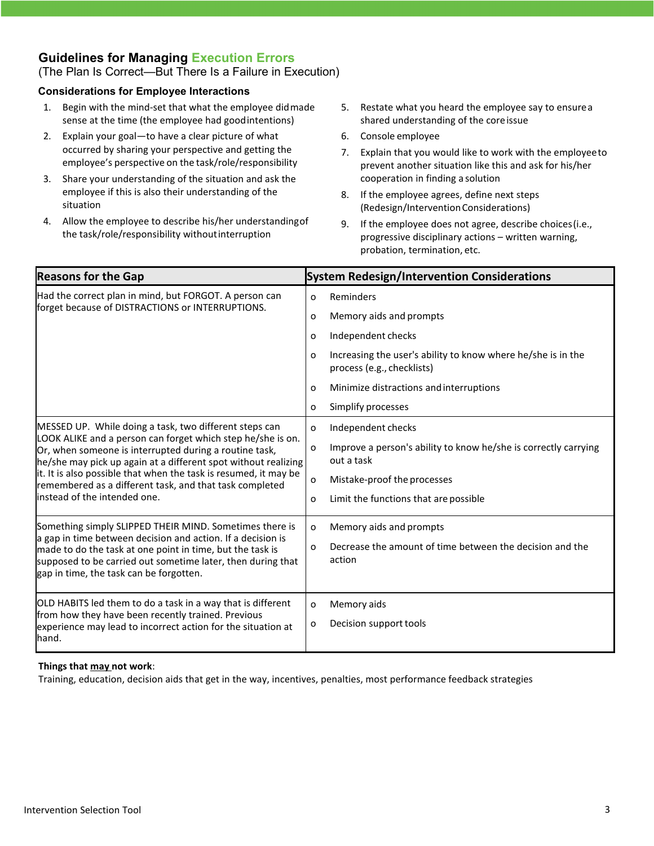## **Guidelines for Managing Execution Errors**

(The Plan Is Correct—But There Is a Failure in Execution)

#### **Considerations for Employee Interactions**

- 1. Begin with the mind-set that what the employee didmade sense at the time (the employee had goodintentions)
- 2. Explain your goal—to have a clear picture of what occurred by sharing your perspective and getting the employee's perspective on the task/role/responsibility
- 3. Share your understanding of the situation and ask the employee if this is also their understanding of the situation
- 4. Allow the employee to describe his/her understandingof the task/role/responsibility withoutinterruption
- 5. Restate what you heard the employee say to ensurea shared understanding of the coreissue
- 6. Console employee
- 7. Explain that you would like to work with the employeeto prevent another situation like this and ask for his/her cooperation in finding a solution
- 8. If the employee agrees, define next steps (Redesign/InterventionConsiderations)
- 9. If the employee does not agree, describe choices(i.e., progressive disciplinary actions – written warning, probation, termination, etc.

| <b>Reasons for the Gap</b>                                                                                                                                                                                                                                                                                                                                                                                       | <b>System Redesign/Intervention Considerations</b>                                              |
|------------------------------------------------------------------------------------------------------------------------------------------------------------------------------------------------------------------------------------------------------------------------------------------------------------------------------------------------------------------------------------------------------------------|-------------------------------------------------------------------------------------------------|
| Had the correct plan in mind, but FORGOT. A person can<br>forget because of DISTRACTIONS or INTERRUPTIONS.                                                                                                                                                                                                                                                                                                       | Reminders<br>O                                                                                  |
|                                                                                                                                                                                                                                                                                                                                                                                                                  | Memory aids and prompts<br>o                                                                    |
|                                                                                                                                                                                                                                                                                                                                                                                                                  | Independent checks<br>o                                                                         |
|                                                                                                                                                                                                                                                                                                                                                                                                                  | Increasing the user's ability to know where he/she is in the<br>0<br>process (e.g., checklists) |
|                                                                                                                                                                                                                                                                                                                                                                                                                  | Minimize distractions and interruptions<br>o                                                    |
|                                                                                                                                                                                                                                                                                                                                                                                                                  | Simplify processes<br>0                                                                         |
| MESSED UP. While doing a task, two different steps can<br>LOOK ALIKE and a person can forget which step he/she is on.<br>Or, when someone is interrupted during a routine task,<br>he/she may pick up again at a different spot without realizing<br>it. It is also possible that when the task is resumed, it may be<br>remembered as a different task, and that task completed<br>instead of the intended one. | Independent checks<br>0                                                                         |
|                                                                                                                                                                                                                                                                                                                                                                                                                  | Improve a person's ability to know he/she is correctly carrying<br>o<br>out a task              |
|                                                                                                                                                                                                                                                                                                                                                                                                                  | Mistake-proof the processes<br>o                                                                |
|                                                                                                                                                                                                                                                                                                                                                                                                                  | Limit the functions that are possible<br>0                                                      |
| Something simply SLIPPED THEIR MIND. Sometimes there is                                                                                                                                                                                                                                                                                                                                                          | Memory aids and prompts<br>o                                                                    |
| a gap in time between decision and action. If a decision is<br>made to do the task at one point in time, but the task is<br>supposed to be carried out sometime later, then during that<br>gap in time, the task can be forgotten.                                                                                                                                                                               | Decrease the amount of time between the decision and the<br>0<br>action                         |
| OLD HABITS led them to do a task in a way that is different                                                                                                                                                                                                                                                                                                                                                      | Memory aids<br>o                                                                                |
| from how they have been recently trained. Previous<br>experience may lead to incorrect action for the situation at<br>hand.                                                                                                                                                                                                                                                                                      | Decision support tools<br>0                                                                     |

#### **Things that may not work**:

Training, education, decision aids that get in the way, incentives, penalties, most performance feedback strategies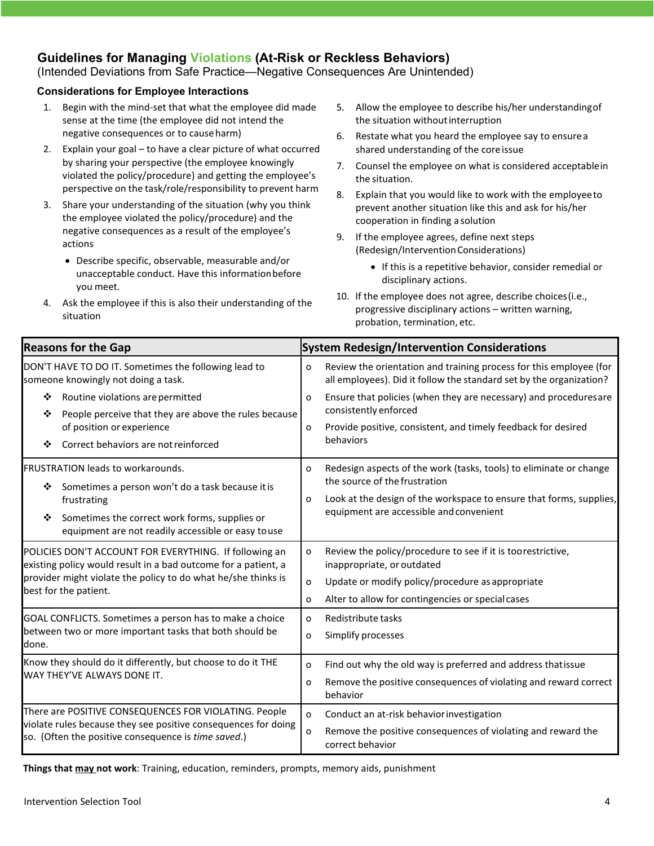### **Guidelines for Managing Violations (At-Risk or Reckless Behaviors)**

### (Intended Deviations from Safe Practice—Negative Consequences Are Unintended)

#### **Considerations for Employee Interactions**

- 1. Begin with the mind-set that what the employee did made sense at the time (the employee did not intend the negative consequences or to causeharm)
- 2. Explain your goal to have a clear picture of what occurred by sharing your perspective (the employee knowingly violated the policy/procedure) and getting the employee's perspective on the task/role/responsibility to prevent harm
- 3. Share your understanding of the situation (why you think the employee violated the policy/procedure) and the negative consequences as a result of the employee's actions
	- Describe specific, observable, measurable and/or unacceptable conduct. Have this informationbefore you meet.
- 4. Ask the employee if this is also their understanding of the situation
- 5. Allow the employee to describe his/her understandingof the situation withoutinterruption
- 6. Restate what you heard the employee say to ensurea shared understanding of the coreissue
- 7. Counsel the employee on what is considered acceptablein the situation.
- 8. Explain that you would like to work with the employeeto prevent another situation like this and ask for his/her cooperation in finding a solution
- 9. If the employee agrees, define next steps (Redesign/InterventionConsiderations)
	- If this is a repetitive behavior, consider remedial or disciplinary actions.
- 10. If the employee does not agree, describe choices(i.e., progressive disciplinary actions – written warning, probation, termination, etc.

| <b>Reasons for the Gap</b>                                                                                                                                                                                                   | <b>System Redesign/Intervention Considerations</b>                                                                                                                                                                              |
|------------------------------------------------------------------------------------------------------------------------------------------------------------------------------------------------------------------------------|---------------------------------------------------------------------------------------------------------------------------------------------------------------------------------------------------------------------------------|
| DON'T HAVE TO DO IT. Sometimes the following lead to<br>someone knowingly not doing a task.                                                                                                                                  | Review the orientation and training process for this employee (for<br>o<br>all employees). Did it follow the standard set by the organization?                                                                                  |
| Routine violations are permitted<br>❖<br>People perceive that they are above the rules because<br>❖<br>of position or experience<br>Correct behaviors are not reinforced<br>❖                                                | Ensure that policies (when they are necessary) and procedures are<br>O<br>consistently enforced<br>Provide positive, consistent, and timely feedback for desired<br>o<br>behaviors                                              |
| <b>FRUSTRATION leads to workarounds.</b><br>Sometimes a person won't do a task because it is<br>❖<br>frustrating<br>Sometimes the correct work forms, supplies or<br>❖<br>equipment are not readily accessible or easy touse | Redesign aspects of the work (tasks, tools) to eliminate or change<br>0<br>the source of the frustration<br>Look at the design of the workspace to ensure that forms, supplies,<br>0<br>equipment are accessible and convenient |
| POLICIES DON'T ACCOUNT FOR EVERYTHING. If following an<br>existing policy would result in a bad outcome for a patient, a<br>provider might violate the policy to do what he/she thinks is<br>best for the patient.           | Review the policy/procedure to see if it is too restrictive,<br>0<br>inappropriate, or outdated<br>Update or modify policy/procedure as appropriate<br>$\Omega$<br>Alter to allow for contingencies or special cases<br>o       |
| GOAL CONFLICTS. Sometimes a person has to make a choice<br>between two or more important tasks that both should be<br>done.                                                                                                  | Redistribute tasks<br>0<br>Simplify processes<br>o                                                                                                                                                                              |
| Know they should do it differently, but choose to do it THE<br>WAY THEY'VE ALWAYS DONE IT.                                                                                                                                   | Find out why the old way is preferred and address that issue<br>0<br>Remove the positive consequences of violating and reward correct<br>o<br>behavior                                                                          |
| There are POSITIVE CONSEQUENCES FOR VIOLATING. People<br>violate rules because they see positive consequences for doing<br>so. (Often the positive consequence is time saved.)                                               | Conduct an at-risk behavior investigation<br>o<br>Remove the positive consequences of violating and reward the<br>o<br>correct behavior                                                                                         |

**Things that may not work**: Training, education, reminders, prompts, memory aids, punishment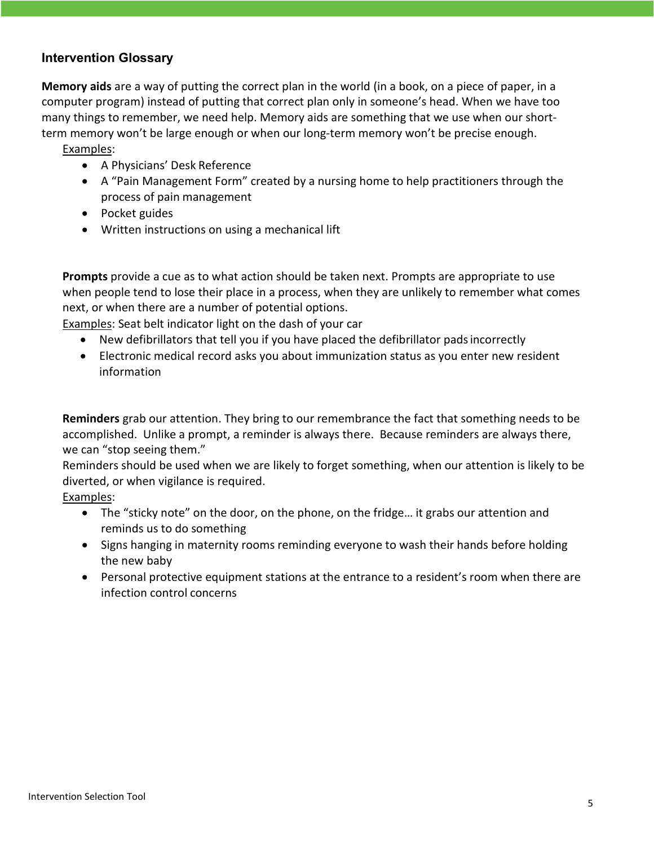### **Intervention Glossary**

**Memory aids** are a way of putting the correct plan in the world (in a book, on a piece of paper, in a computer program) instead of putting that correct plan only in someone's head. When we have too many things to remember, we need help. Memory aids are something that we use when our shortterm memory won't be large enough or when our long-term memory won't be precise enough.

Examples:

- A Physicians' Desk Reference
- A "Pain Management Form" created by a nursing home to help practitioners through the process of pain management
- Pocket guides
- Written instructions on using a mechanical lift

**Prompts** provide a cue as to what action should be taken next. Prompts are appropriate to use when people tend to lose their place in a process, when they are unlikely to remember what comes next, or when there are a number of potential options.

Examples: Seat belt indicator light on the dash of your car

- New defibrillators that tell you if you have placed the defibrillator pads incorrectly
- Electronic medical record asks you about immunization status as you enter new resident information

**Reminders** grab our attention. They bring to our remembrance the fact that something needs to be accomplished. Unlike a prompt, a reminder is always there. Because reminders are always there, we can "stop seeing them."

Reminders should be used when we are likely to forget something, when our attention is likely to be diverted, or when vigilance is required.

Examples:

- The "sticky note" on the door, on the phone, on the fridge… it grabs our attention and reminds us to do something
- Signs hanging in maternity rooms reminding everyone to wash their hands before holding the new baby
- Personal protective equipment stations at the entrance to a resident's room when there are infection control concerns